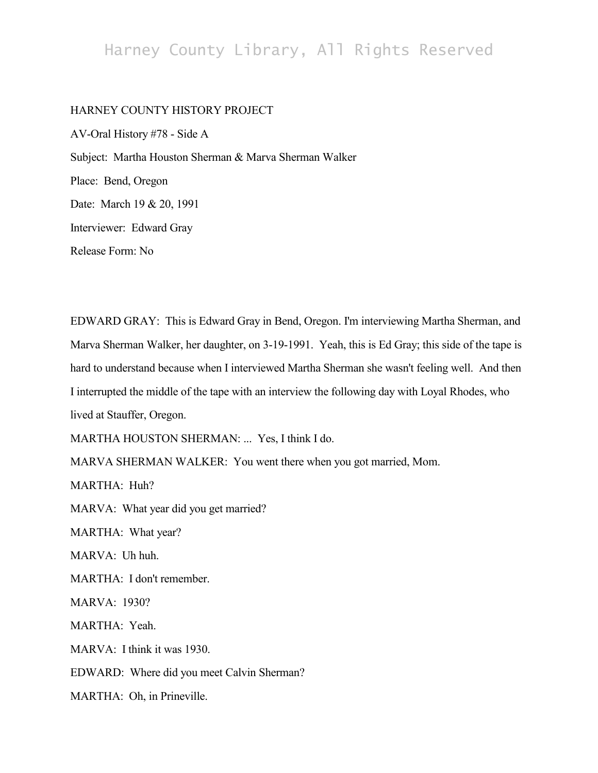## Harney County Library, All Rights Reserved

## HARNEY COUNTY HISTORY PROJECT

AV-Oral History #78 - Side A Subject: Martha Houston Sherman & Marva Sherman Walker Place: Bend, Oregon Date: March 19 & 20, 1991 Interviewer: Edward Gray Release Form: No

EDWARD GRAY: This is Edward Gray in Bend, Oregon. I'm interviewing Martha Sherman, and Marva Sherman Walker, her daughter, on 3-19-1991. Yeah, this is Ed Gray; this side of the tape is hard to understand because when I interviewed Martha Sherman she wasn't feeling well. And then I interrupted the middle of the tape with an interview the following day with Loyal Rhodes, who lived at Stauffer, Oregon.

MARTHA HOUSTON SHERMAN: ... Yes, I think I do.

MARVA SHERMAN WALKER: You went there when you got married, Mom.

MARTHA: Huh?

MARVA: What year did you get married?

MARTHA: What year?

MARVA: Uh huh.

MARTHA: I don't remember.

MARVA: 1930?

MARTHA: Yeah.

MARVA: I think it was 1930.

EDWARD: Where did you meet Calvin Sherman?

MARTHA: Oh, in Prineville.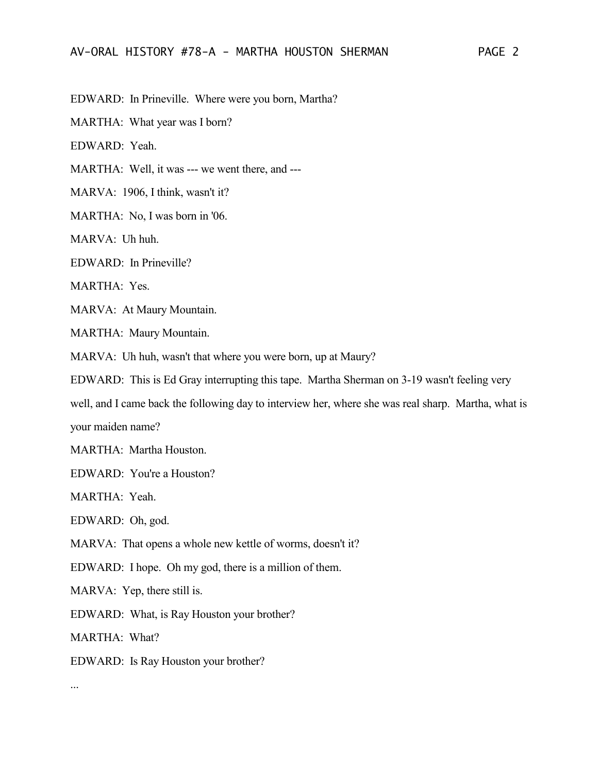EDWARD: In Prineville. Where were you born, Martha?

MARTHA: What year was I born?

EDWARD: Yeah.

MARTHA: Well, it was --- we went there, and ---

MARVA: 1906, I think, wasn't it?

MARTHA: No, I was born in '06.

MARVA: Uh huh.

EDWARD: In Prineville?

MARTHA: Yes.

MARVA: At Maury Mountain.

MARTHA: Maury Mountain.

MARVA: Uh huh, wasn't that where you were born, up at Maury?

EDWARD: This is Ed Gray interrupting this tape. Martha Sherman on 3-19 wasn't feeling very

well, and I came back the following day to interview her, where she was real sharp. Martha, what is your maiden name?

MARTHA: Martha Houston.

EDWARD: You're a Houston?

MARTHA: Yeah.

EDWARD: Oh, god.

MARVA: That opens a whole new kettle of worms, doesn't it?

EDWARD: I hope. Oh my god, there is a million of them.

MARVA: Yep, there still is.

EDWARD: What, is Ray Houston your brother?

MARTHA: What?

EDWARD: Is Ray Houston your brother?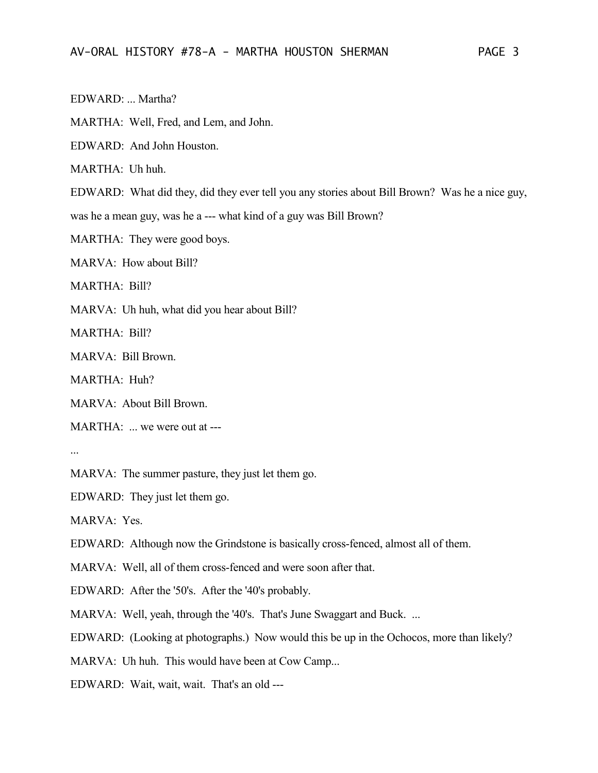EDWARD: ... Martha?

MARTHA: Well, Fred, and Lem, and John.

EDWARD: And John Houston.

MARTHA: Uh huh.

EDWARD: What did they, did they ever tell you any stories about Bill Brown? Was he a nice guy,

was he a mean guy, was he a --- what kind of a guy was Bill Brown?

MARTHA: They were good boys.

MARVA: How about Bill?

MARTHA: Bill?

MARVA: Uh huh, what did you hear about Bill?

MARTHA: Bill?

MARVA: Bill Brown.

MARTHA: Huh?

MARVA: About Bill Brown.

MARTHA: ... we were out at ---

...

MARVA: The summer pasture, they just let them go.

EDWARD: They just let them go.

MARVA: Yes.

EDWARD: Although now the Grindstone is basically cross-fenced, almost all of them.

MARVA: Well, all of them cross-fenced and were soon after that.

EDWARD: After the '50's. After the '40's probably.

MARVA: Well, yeah, through the '40's. That's June Swaggart and Buck. ...

EDWARD: (Looking at photographs.) Now would this be up in the Ochocos, more than likely?

MARVA: Uh huh. This would have been at Cow Camp...

EDWARD: Wait, wait, wait. That's an old ---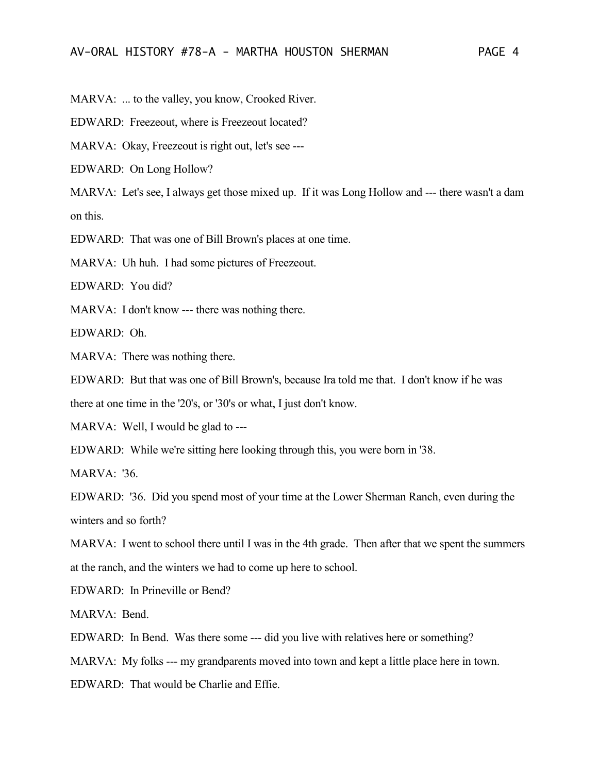MARVA: ... to the valley, you know, Crooked River.

EDWARD: Freezeout, where is Freezeout located?

MARVA: Okay, Freezeout is right out, let's see ---

EDWARD: On Long Hollow?

MARVA: Let's see, I always get those mixed up. If it was Long Hollow and --- there wasn't a dam on this.

EDWARD: That was one of Bill Brown's places at one time.

MARVA: Uh huh. I had some pictures of Freezeout.

EDWARD: You did?

MARVA: I don't know --- there was nothing there.

EDWARD: Oh.

MARVA: There was nothing there.

EDWARD: But that was one of Bill Brown's, because Ira told me that. I don't know if he was

there at one time in the '20's, or '30's or what, I just don't know.

MARVA: Well, I would be glad to ---

EDWARD: While we're sitting here looking through this, you were born in '38.

MARVA: '36.

EDWARD: '36. Did you spend most of your time at the Lower Sherman Ranch, even during the winters and so forth?

MARVA: I went to school there until I was in the 4th grade. Then after that we spent the summers at the ranch, and the winters we had to come up here to school.

EDWARD: In Prineville or Bend?

MARVA: Bend.

EDWARD: In Bend. Was there some --- did you live with relatives here or something?

MARVA: My folks --- my grandparents moved into town and kept a little place here in town.

EDWARD: That would be Charlie and Effie.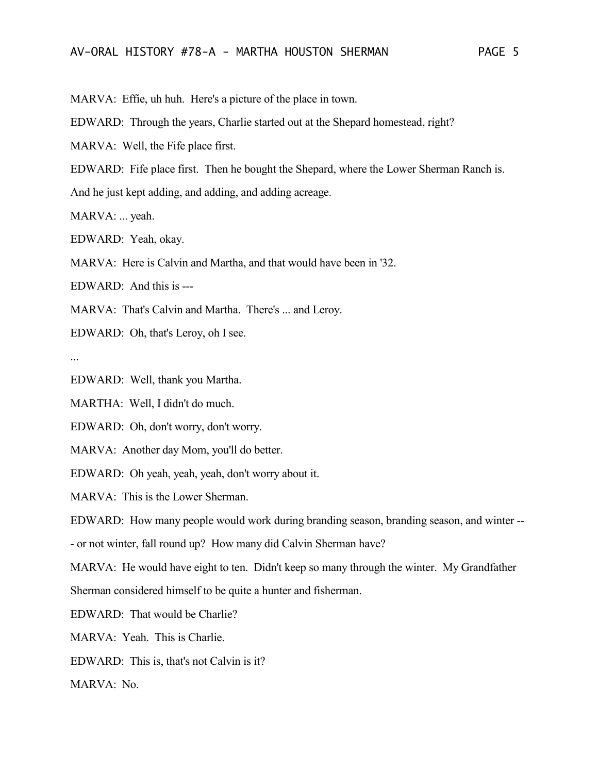MARVA: Effie, uh huh. Here's a picture of the place in town.

EDWARD: Through the years, Charlie started out at the Shepard homestead, right?

MARVA: Well, the Fife place first.

EDWARD: Fife place first. Then he bought the Shepard, where the Lower Sherman Ranch is.

And he just kept adding, and adding, and adding acreage.

MARVA: ... yeah.

EDWARD: Yeah, okay.

MARVA: Here is Calvin and Martha, and that would have been in '32.

EDWARD: And this is ---

MARVA: That's Calvin and Martha. There's ... and Leroy.

EDWARD: Oh, that's Leroy, oh I see.

...

EDWARD: Well, thank you Martha.

MARTHA: Well, I didn't do much.

EDWARD: Oh, don't worry, don't worry.

MARVA: Another day Mom, you'll do better.

EDWARD: Oh yeah, yeah, yeah, don't worry about it.

MARVA: This is the Lower Sherman.

EDWARD: How many people would work during branding season, branding season, and winter --

- or not winter, fall round up? How many did Calvin Sherman have?

MARVA: He would have eight to ten. Didn't keep so many through the winter. My Grandfather Sherman considered himself to be quite a hunter and fisherman.

EDWARD: That would be Charlie?

MARVA: Yeah. This is Charlie.

EDWARD: This is, that's not Calvin is it?

MARVA: No.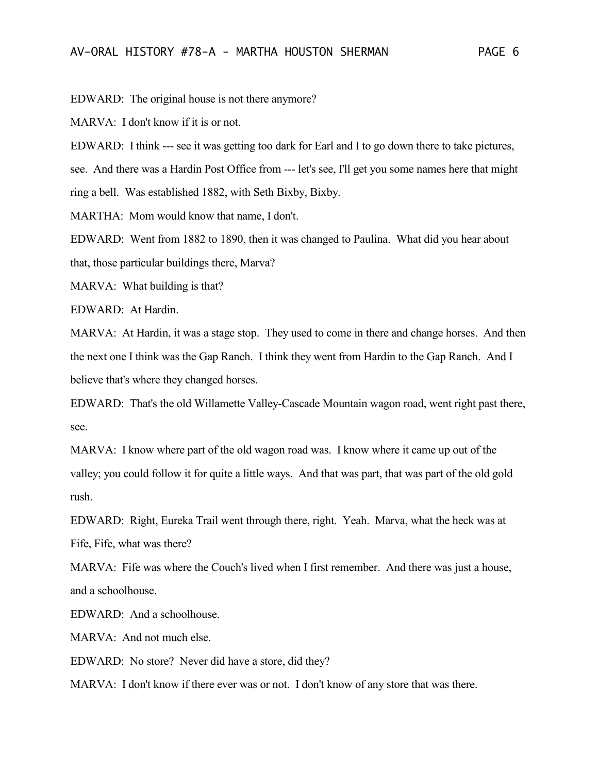EDWARD: The original house is not there anymore?

MARVA: I don't know if it is or not.

EDWARD: I think --- see it was getting too dark for Earl and I to go down there to take pictures,

see. And there was a Hardin Post Office from --- let's see, I'll get you some names here that might ring a bell. Was established 1882, with Seth Bixby, Bixby.

MARTHA: Mom would know that name, I don't.

EDWARD: Went from 1882 to 1890, then it was changed to Paulina. What did you hear about that, those particular buildings there, Marva?

MARVA: What building is that?

EDWARD: At Hardin.

MARVA: At Hardin, it was a stage stop. They used to come in there and change horses. And then the next one I think was the Gap Ranch. I think they went from Hardin to the Gap Ranch. And I believe that's where they changed horses.

EDWARD: That's the old Willamette Valley-Cascade Mountain wagon road, went right past there, see.

MARVA: I know where part of the old wagon road was. I know where it came up out of the valley; you could follow it for quite a little ways. And that was part, that was part of the old gold rush.

EDWARD: Right, Eureka Trail went through there, right. Yeah. Marva, what the heck was at Fife, Fife, what was there?

MARVA: Fife was where the Couch's lived when I first remember. And there was just a house, and a schoolhouse.

EDWARD: And a schoolhouse.

MARVA: And not much else.

EDWARD: No store? Never did have a store, did they?

MARVA: I don't know if there ever was or not. I don't know of any store that was there.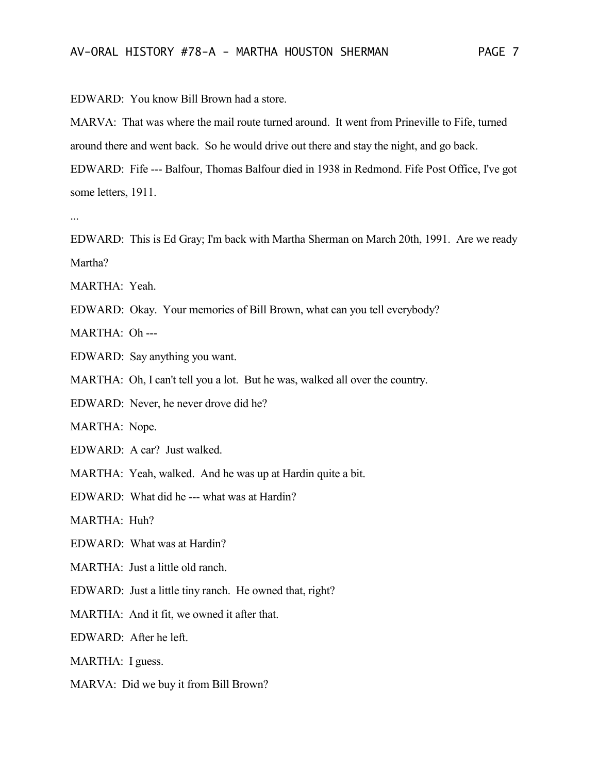EDWARD: You know Bill Brown had a store.

MARVA: That was where the mail route turned around. It went from Prineville to Fife, turned around there and went back. So he would drive out there and stay the night, and go back.

EDWARD: Fife --- Balfour, Thomas Balfour died in 1938 in Redmond. Fife Post Office, I've got some letters, 1911.

...

EDWARD: This is Ed Gray; I'm back with Martha Sherman on March 20th, 1991. Are we ready Martha?

- MARTHA: Yeah.
- EDWARD: Okay. Your memories of Bill Brown, what can you tell everybody?

MARTHA: Oh ---

- EDWARD: Say anything you want.
- MARTHA: Oh, I can't tell you a lot. But he was, walked all over the country.
- EDWARD: Never, he never drove did he?

MARTHA: Nope.

EDWARD: A car? Just walked.

MARTHA: Yeah, walked. And he was up at Hardin quite a bit.

EDWARD: What did he --- what was at Hardin?

MARTHA: Huh?

EDWARD: What was at Hardin?

MARTHA: Just a little old ranch.

EDWARD: Just a little tiny ranch. He owned that, right?

MARTHA: And it fit, we owned it after that.

EDWARD: After he left.

MARTHA: I guess.

MARVA: Did we buy it from Bill Brown?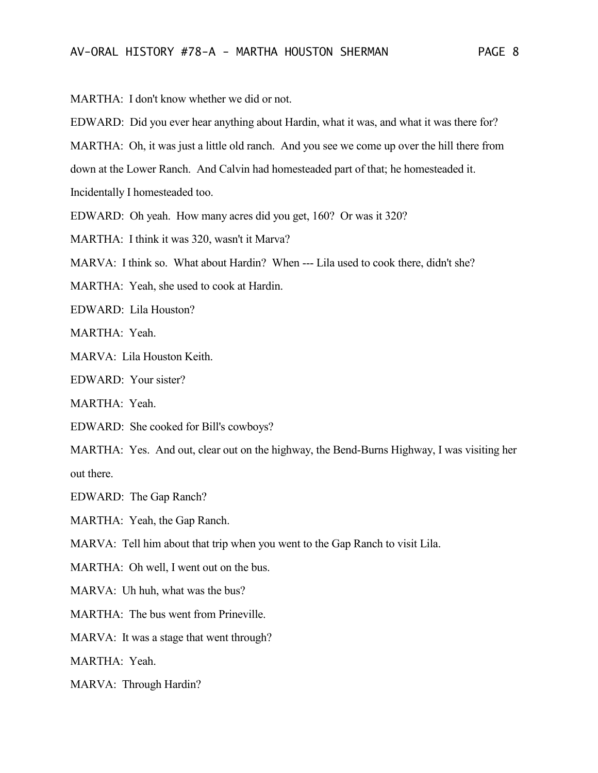MARTHA: I don't know whether we did or not.

EDWARD: Did you ever hear anything about Hardin, what it was, and what it was there for?

MARTHA: Oh, it was just a little old ranch. And you see we come up over the hill there from

down at the Lower Ranch. And Calvin had homesteaded part of that; he homesteaded it.

Incidentally I homesteaded too.

EDWARD: Oh yeah. How many acres did you get, 160? Or was it 320?

MARTHA: I think it was 320, wasn't it Marva?

MARVA: I think so. What about Hardin? When --- Lila used to cook there, didn't she?

MARTHA: Yeah, she used to cook at Hardin.

EDWARD: Lila Houston?

MARTHA: Yeah.

MARVA: Lila Houston Keith.

EDWARD: Your sister?

MARTHA: Yeah.

EDWARD: She cooked for Bill's cowboys?

MARTHA: Yes. And out, clear out on the highway, the Bend-Burns Highway, I was visiting her out there.

EDWARD: The Gap Ranch?

MARTHA: Yeah, the Gap Ranch.

MARVA: Tell him about that trip when you went to the Gap Ranch to visit Lila.

MARTHA: Oh well, I went out on the bus.

MARVA: Uh huh, what was the bus?

MARTHA: The bus went from Prineville.

MARVA: It was a stage that went through?

MARTHA: Yeah.

MARVA: Through Hardin?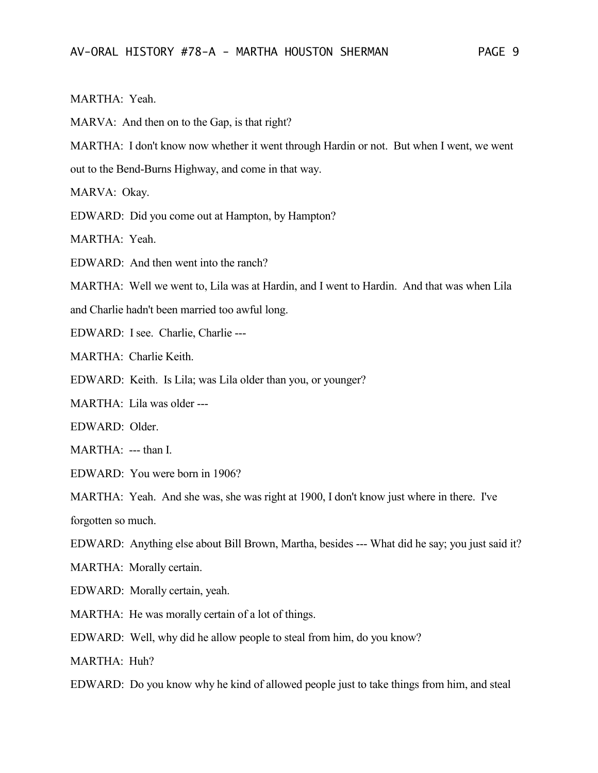## MARTHA: Yeah.

MARVA: And then on to the Gap, is that right?

MARTHA: I don't know now whether it went through Hardin or not. But when I went, we went out to the Bend-Burns Highway, and come in that way.

MARVA: Okay.

EDWARD: Did you come out at Hampton, by Hampton?

MARTHA: Yeah.

EDWARD: And then went into the ranch?

MARTHA: Well we went to, Lila was at Hardin, and I went to Hardin. And that was when Lila

- and Charlie hadn't been married too awful long.
- EDWARD: I see. Charlie, Charlie ---

MARTHA: Charlie Keith.

EDWARD: Keith. Is Lila; was Lila older than you, or younger?

MARTHA: Lila was older ---

EDWARD: Older.

MARTHA: --- than I.

EDWARD: You were born in 1906?

MARTHA: Yeah. And she was, she was right at 1900, I don't know just where in there. I've

forgotten so much.

- EDWARD: Anything else about Bill Brown, Martha, besides --- What did he say; you just said it?
- MARTHA: Morally certain.
- EDWARD: Morally certain, yeah.
- MARTHA: He was morally certain of a lot of things.
- EDWARD: Well, why did he allow people to steal from him, do you know?

MARTHA: Huh?

EDWARD: Do you know why he kind of allowed people just to take things from him, and steal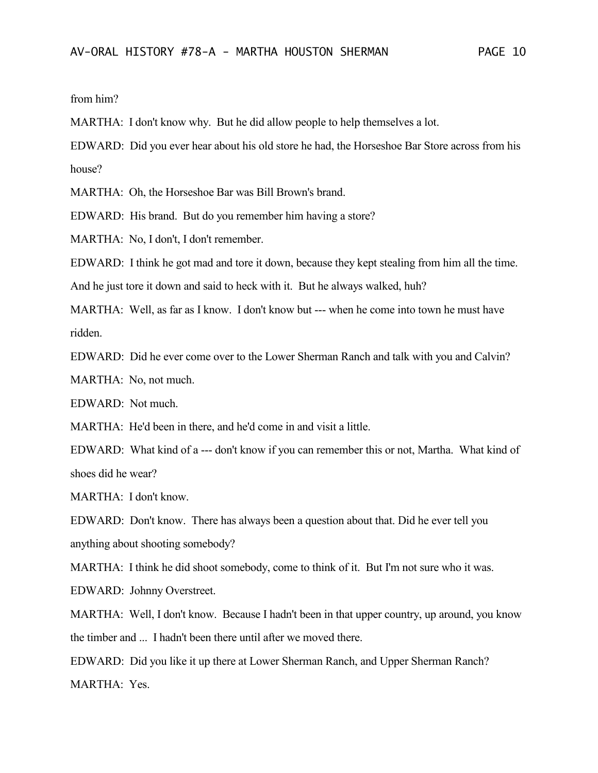from him?

MARTHA: I don't know why. But he did allow people to help themselves a lot.

EDWARD: Did you ever hear about his old store he had, the Horseshoe Bar Store across from his house?

MARTHA: Oh, the Horseshoe Bar was Bill Brown's brand.

EDWARD: His brand. But do you remember him having a store?

MARTHA: No, I don't, I don't remember.

EDWARD: I think he got mad and tore it down, because they kept stealing from him all the time.

And he just tore it down and said to heck with it. But he always walked, huh?

MARTHA: Well, as far as I know. I don't know but --- when he come into town he must have ridden.

EDWARD: Did he ever come over to the Lower Sherman Ranch and talk with you and Calvin?

MARTHA: No, not much.

EDWARD: Not much.

MARTHA: He'd been in there, and he'd come in and visit a little.

EDWARD: What kind of a --- don't know if you can remember this or not, Martha. What kind of shoes did he wear?

MARTHA: I don't know.

EDWARD: Don't know. There has always been a question about that. Did he ever tell you anything about shooting somebody?

MARTHA: I think he did shoot somebody, come to think of it. But I'm not sure who it was.

EDWARD: Johnny Overstreet.

MARTHA: Well, I don't know. Because I hadn't been in that upper country, up around, you know the timber and ... I hadn't been there until after we moved there.

EDWARD: Did you like it up there at Lower Sherman Ranch, and Upper Sherman Ranch? MARTHA: Yes.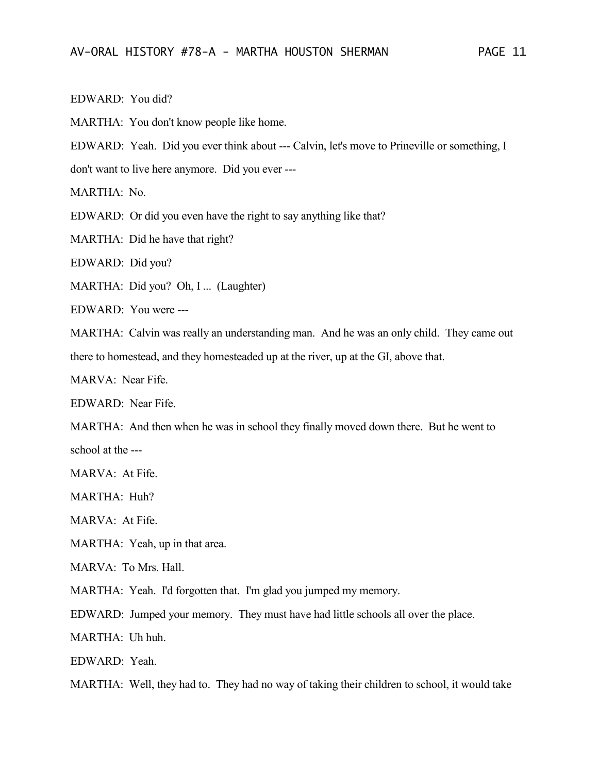EDWARD: You did?

MARTHA: You don't know people like home.

EDWARD: Yeah. Did you ever think about --- Calvin, let's move to Prineville or something, I

don't want to live here anymore. Did you ever ---

MARTHA: No.

EDWARD: Or did you even have the right to say anything like that?

MARTHA: Did he have that right?

EDWARD: Did you?

MARTHA: Did you? Oh, I ... (Laughter)

EDWARD: You were ---

MARTHA: Calvin was really an understanding man. And he was an only child. They came out there to homestead, and they homesteaded up at the river, up at the GI, above that.

MARVA: Near Fife.

EDWARD: Near Fife.

MARTHA: And then when he was in school they finally moved down there. But he went to school at the ---

MARVA: At Fife.

MARTHA: Huh?

MARVA: At Fife.

MARTHA: Yeah, up in that area.

MARVA: To Mrs. Hall.

MARTHA: Yeah. I'd forgotten that. I'm glad you jumped my memory.

EDWARD: Jumped your memory. They must have had little schools all over the place.

MARTHA: Uh huh.

EDWARD: Yeah.

MARTHA: Well, they had to. They had no way of taking their children to school, it would take